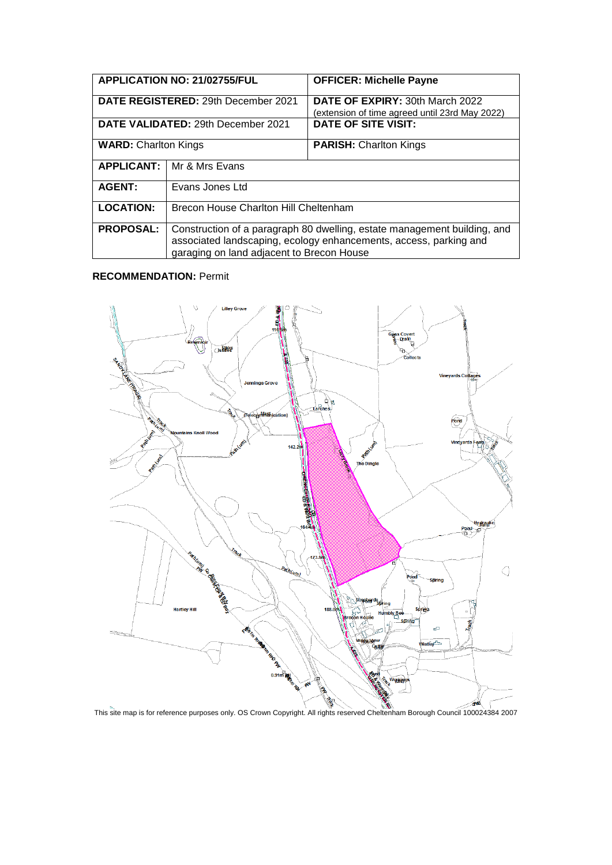| <b>APPLICATION NO: 21/02755/FUL</b>        |                                                                                                                                                                                            | <b>OFFICER: Michelle Payne</b>                 |
|--------------------------------------------|--------------------------------------------------------------------------------------------------------------------------------------------------------------------------------------------|------------------------------------------------|
| <b>DATE REGISTERED: 29th December 2021</b> |                                                                                                                                                                                            | DATE OF EXPIRY: 30th March 2022                |
|                                            |                                                                                                                                                                                            | (extension of time agreed until 23rd May 2022) |
| DATE VALIDATED: 29th December 2021         |                                                                                                                                                                                            | <b>DATE OF SITE VISIT:</b>                     |
| <b>WARD: Charlton Kings</b>                |                                                                                                                                                                                            | <b>PARISH:</b> Charlton Kings                  |
| <b>APPLICANT:</b>                          | I Mr & Mrs Evans                                                                                                                                                                           |                                                |
| <b>AGENT:</b>                              | Evans Jones Ltd                                                                                                                                                                            |                                                |
| <b>LOCATION:</b>                           | <b>Brecon House Charlton Hill Cheltenham</b>                                                                                                                                               |                                                |
| <b>PROPOSAL:</b>                           | Construction of a paragraph 80 dwelling, estate management building, and<br>associated landscaping, ecology enhancements, access, parking and<br>garaging on land adjacent to Brecon House |                                                |

# **RECOMMENDATION:** Permit

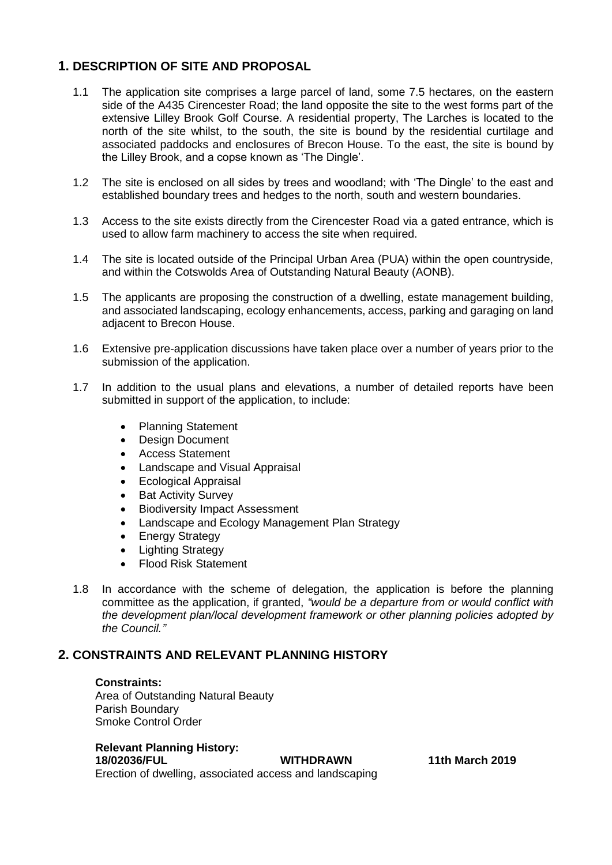# **1. DESCRIPTION OF SITE AND PROPOSAL**

- 1.1 The application site comprises a large parcel of land, some 7.5 hectares, on the eastern side of the A435 Cirencester Road; the land opposite the site to the west forms part of the extensive Lilley Brook Golf Course. A residential property, The Larches is located to the north of the site whilst, to the south, the site is bound by the residential curtilage and associated paddocks and enclosures of Brecon House. To the east, the site is bound by the Lilley Brook, and a copse known as 'The Dingle'.
- 1.2 The site is enclosed on all sides by trees and woodland; with 'The Dingle' to the east and established boundary trees and hedges to the north, south and western boundaries.
- 1.3 Access to the site exists directly from the Cirencester Road via a gated entrance, which is used to allow farm machinery to access the site when required.
- 1.4 The site is located outside of the Principal Urban Area (PUA) within the open countryside, and within the Cotswolds Area of Outstanding Natural Beauty (AONB).
- 1.5 The applicants are proposing the construction of a dwelling, estate management building, and associated landscaping, ecology enhancements, access, parking and garaging on land adjacent to Brecon House.
- 1.6 Extensive pre-application discussions have taken place over a number of years prior to the submission of the application.
- 1.7 In addition to the usual plans and elevations, a number of detailed reports have been submitted in support of the application, to include:
	- Planning Statement
	- Design Document
	- Access Statement
	- Landscape and Visual Appraisal
	- Ecological Appraisal
	- Bat Activity Survey
	- Biodiversity Impact Assessment
	- Landscape and Ecology Management Plan Strategy
	- Energy Strategy
	- Lighting Strategy
	- Flood Risk Statement
- 1.8 In accordance with the scheme of delegation, the application is before the planning committee as the application, if granted, *"would be a departure from or would conflict with the development plan/local development framework or other planning policies adopted by the Council."*

## **2. CONSTRAINTS AND RELEVANT PLANNING HISTORY**

#### **Constraints:**

Area of Outstanding Natural Beauty Parish Boundary Smoke Control Order

# **Relevant Planning History:**

**18/02036/FUL WITHDRAWN 11th March 2019**  Erection of dwelling, associated access and landscaping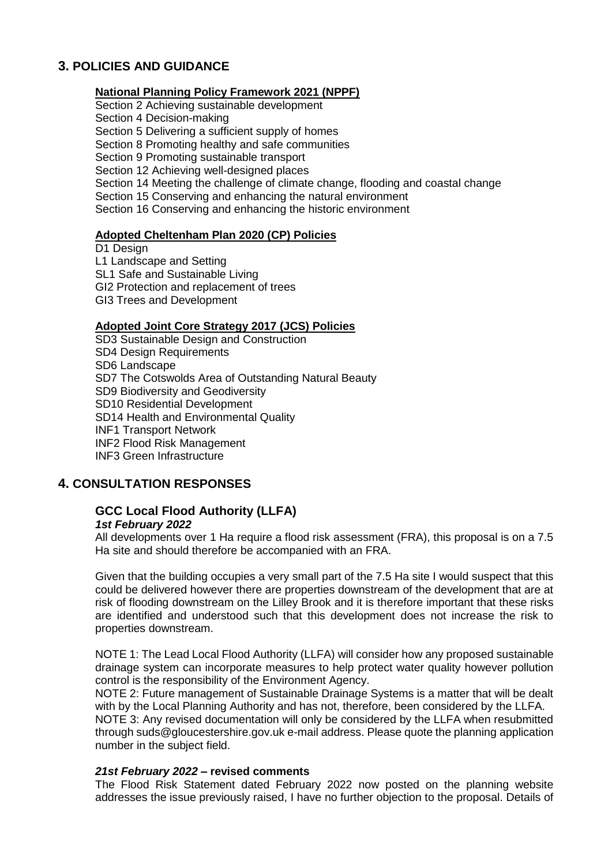# **3. POLICIES AND GUIDANCE**

#### **National Planning Policy Framework 2021 (NPPF)**

Section 2 Achieving sustainable development

Section 4 Decision-making

Section 5 Delivering a sufficient supply of homes

Section 8 Promoting healthy and safe communities

Section 9 Promoting sustainable transport

Section 12 Achieving well-designed places

Section 14 Meeting the challenge of climate change, flooding and coastal change

Section 15 Conserving and enhancing the natural environment

Section 16 Conserving and enhancing the historic environment

#### **Adopted Cheltenham Plan 2020 (CP) Policies**

D1 Design L1 Landscape and Setting SL1 Safe and Sustainable Living GI2 Protection and replacement of trees GI3 Trees and Development

#### **Adopted Joint Core Strategy 2017 (JCS) Policies**

SD3 Sustainable Design and Construction SD4 Design Requirements SD6 Landscape SD7 The Cotswolds Area of Outstanding Natural Beauty SD9 Biodiversity and Geodiversity SD10 Residential Development SD14 Health and Environmental Quality INF1 Transport Network INF2 Flood Risk Management INF3 Green Infrastructure

## **4. CONSULTATION RESPONSES**

#### **GCC Local Flood Authority (LLFA)** *1st February 2022*

All developments over 1 Ha require a flood risk assessment (FRA), this proposal is on a 7.5 Ha site and should therefore be accompanied with an FRA.

Given that the building occupies a very small part of the 7.5 Ha site I would suspect that this could be delivered however there are properties downstream of the development that are at risk of flooding downstream on the Lilley Brook and it is therefore important that these risks are identified and understood such that this development does not increase the risk to properties downstream.

NOTE 1: The Lead Local Flood Authority (LLFA) will consider how any proposed sustainable drainage system can incorporate measures to help protect water quality however pollution control is the responsibility of the Environment Agency.

NOTE 2: Future management of Sustainable Drainage Systems is a matter that will be dealt with by the Local Planning Authority and has not, therefore, been considered by the LLFA. NOTE 3: Any revised documentation will only be considered by the LLFA when resubmitted

through suds@gloucestershire.gov.uk e-mail address. Please quote the planning application number in the subject field.

#### *21st February 2022* **– revised comments**

The Flood Risk Statement dated February 2022 now posted on the planning website addresses the issue previously raised, I have no further objection to the proposal. Details of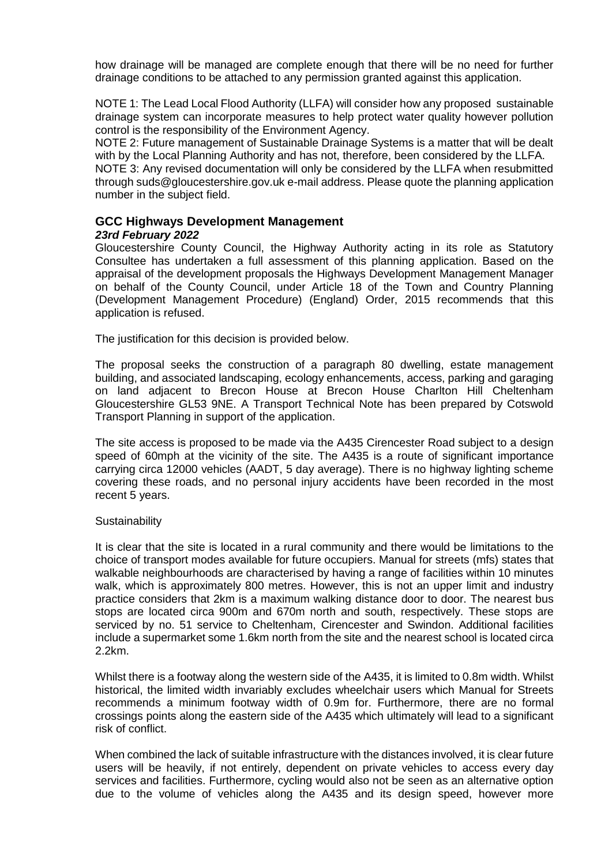how drainage will be managed are complete enough that there will be no need for further drainage conditions to be attached to any permission granted against this application.

NOTE 1: The Lead Local Flood Authority (LLFA) will consider how any proposed sustainable drainage system can incorporate measures to help protect water quality however pollution control is the responsibility of the Environment Agency.

NOTE 2: Future management of Sustainable Drainage Systems is a matter that will be dealt with by the Local Planning Authority and has not, therefore, been considered by the LLFA.

NOTE 3: Any revised documentation will only be considered by the LLFA when resubmitted through suds@gloucestershire.gov.uk e-mail address. Please quote the planning application number in the subject field.

#### **GCC Highways Development Management** *23rd February 2022*

Gloucestershire County Council, the Highway Authority acting in its role as Statutory Consultee has undertaken a full assessment of this planning application. Based on the appraisal of the development proposals the Highways Development Management Manager on behalf of the County Council, under Article 18 of the Town and Country Planning (Development Management Procedure) (England) Order, 2015 recommends that this application is refused.

The justification for this decision is provided below.

The proposal seeks the construction of a paragraph 80 dwelling, estate management building, and associated landscaping, ecology enhancements, access, parking and garaging on land adjacent to Brecon House at Brecon House Charlton Hill Cheltenham Gloucestershire GL53 9NE. A Transport Technical Note has been prepared by Cotswold Transport Planning in support of the application.

The site access is proposed to be made via the A435 Cirencester Road subject to a design speed of 60mph at the vicinity of the site. The A435 is a route of significant importance carrying circa 12000 vehicles (AADT, 5 day average). There is no highway lighting scheme covering these roads, and no personal injury accidents have been recorded in the most recent 5 years.

#### **Sustainability**

It is clear that the site is located in a rural community and there would be limitations to the choice of transport modes available for future occupiers. Manual for streets (mfs) states that walkable neighbourhoods are characterised by having a range of facilities within 10 minutes walk, which is approximately 800 metres. However, this is not an upper limit and industry practice considers that 2km is a maximum walking distance door to door. The nearest bus stops are located circa 900m and 670m north and south, respectively. These stops are serviced by no. 51 service to Cheltenham, Cirencester and Swindon. Additional facilities include a supermarket some 1.6km north from the site and the nearest school is located circa 2.2km.

Whilst there is a footway along the western side of the A435, it is limited to 0.8m width. Whilst historical, the limited width invariably excludes wheelchair users which Manual for Streets recommends a minimum footway width of 0.9m for. Furthermore, there are no formal crossings points along the eastern side of the A435 which ultimately will lead to a significant risk of conflict.

When combined the lack of suitable infrastructure with the distances involved, it is clear future users will be heavily, if not entirely, dependent on private vehicles to access every day services and facilities. Furthermore, cycling would also not be seen as an alternative option due to the volume of vehicles along the A435 and its design speed, however more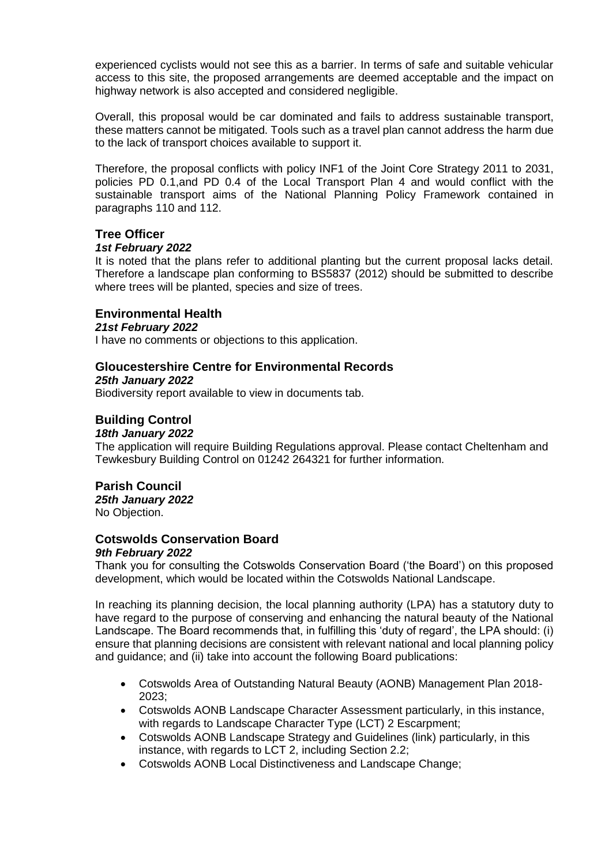experienced cyclists would not see this as a barrier. In terms of safe and suitable vehicular access to this site, the proposed arrangements are deemed acceptable and the impact on highway network is also accepted and considered negligible.

Overall, this proposal would be car dominated and fails to address sustainable transport, these matters cannot be mitigated. Tools such as a travel plan cannot address the harm due to the lack of transport choices available to support it.

Therefore, the proposal conflicts with policy INF1 of the Joint Core Strategy 2011 to 2031, policies PD 0.1,and PD 0.4 of the Local Transport Plan 4 and would conflict with the sustainable transport aims of the National Planning Policy Framework contained in paragraphs 110 and 112.

## **Tree Officer**

#### *1st February 2022*

It is noted that the plans refer to additional planting but the current proposal lacks detail. Therefore a landscape plan conforming to BS5837 (2012) should be submitted to describe where trees will be planted, species and size of trees.

## **Environmental Health**

#### *21st February 2022*

I have no comments or objections to this application.

## **Gloucestershire Centre for Environmental Records**

#### *25th January 2022*

Biodiversity report available to view in documents tab.

## **Building Control**

#### *18th January 2022*

The application will require Building Regulations approval. Please contact Cheltenham and Tewkesbury Building Control on 01242 264321 for further information.

#### **Parish Council**

*25th January 2022* No Objection.

# **Cotswolds Conservation Board**

# *9th February 2022*

Thank you for consulting the Cotswolds Conservation Board ('the Board') on this proposed development, which would be located within the Cotswolds National Landscape.

In reaching its planning decision, the local planning authority (LPA) has a statutory duty to have regard to the purpose of conserving and enhancing the natural beauty of the National Landscape. The Board recommends that, in fulfilling this 'duty of regard', the LPA should: (i) ensure that planning decisions are consistent with relevant national and local planning policy and guidance; and (ii) take into account the following Board publications:

- Cotswolds Area of Outstanding Natural Beauty (AONB) Management Plan 2018- 2023;
- Cotswolds AONB Landscape Character Assessment particularly, in this instance, with regards to Landscape Character Type (LCT) 2 Escarpment;
- Cotswolds AONB Landscape Strategy and Guidelines (link) particularly, in this instance, with regards to LCT 2, including Section 2.2;
- Cotswolds AONB Local Distinctiveness and Landscape Change;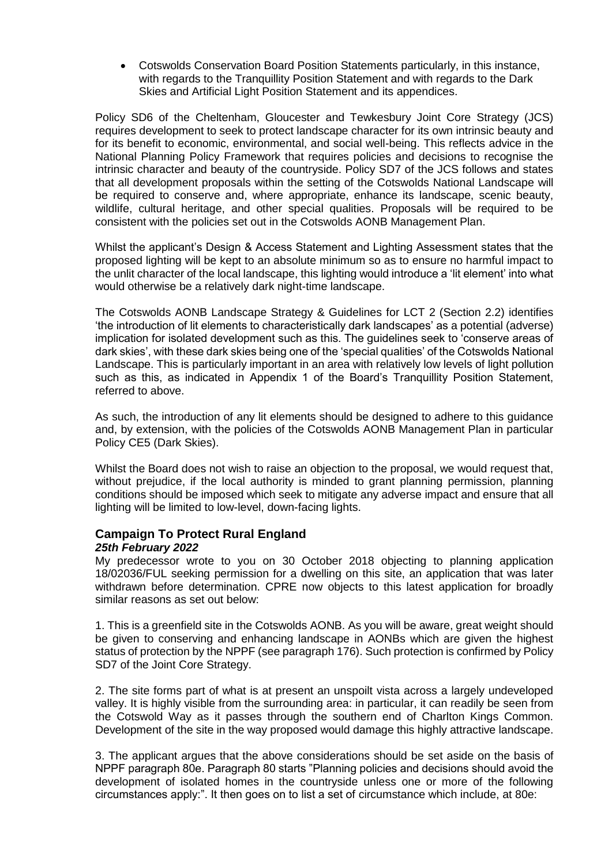Cotswolds Conservation Board Position Statements particularly, in this instance, with regards to the Tranquillity Position Statement and with regards to the Dark Skies and Artificial Light Position Statement and its appendices.

Policy SD6 of the Cheltenham, Gloucester and Tewkesbury Joint Core Strategy (JCS) requires development to seek to protect landscape character for its own intrinsic beauty and for its benefit to economic, environmental, and social well-being. This reflects advice in the National Planning Policy Framework that requires policies and decisions to recognise the intrinsic character and beauty of the countryside. Policy SD7 of the JCS follows and states that all development proposals within the setting of the Cotswolds National Landscape will be required to conserve and, where appropriate, enhance its landscape, scenic beauty, wildlife, cultural heritage, and other special qualities. Proposals will be required to be consistent with the policies set out in the Cotswolds AONB Management Plan.

Whilst the applicant's Design & Access Statement and Lighting Assessment states that the proposed lighting will be kept to an absolute minimum so as to ensure no harmful impact to the unlit character of the local landscape, this lighting would introduce a 'lit element' into what would otherwise be a relatively dark night-time landscape.

The Cotswolds AONB Landscape Strategy & Guidelines for LCT 2 (Section 2.2) identifies 'the introduction of lit elements to characteristically dark landscapes' as a potential (adverse) implication for isolated development such as this. The guidelines seek to 'conserve areas of dark skies', with these dark skies being one of the 'special qualities' of the Cotswolds National Landscape. This is particularly important in an area with relatively low levels of light pollution such as this, as indicated in Appendix 1 of the Board's Tranquillity Position Statement, referred to above.

As such, the introduction of any lit elements should be designed to adhere to this guidance and, by extension, with the policies of the Cotswolds AONB Management Plan in particular Policy CE5 (Dark Skies).

Whilst the Board does not wish to raise an objection to the proposal, we would request that, without prejudice, if the local authority is minded to grant planning permission, planning conditions should be imposed which seek to mitigate any adverse impact and ensure that all lighting will be limited to low-level, down-facing lights.

#### **Campaign To Protect Rural England** *25th February 2022*

My predecessor wrote to you on 30 October 2018 objecting to planning application 18/02036/FUL seeking permission for a dwelling on this site, an application that was later withdrawn before determination. CPRE now objects to this latest application for broadly similar reasons as set out below:

1. This is a greenfield site in the Cotswolds AONB. As you will be aware, great weight should be given to conserving and enhancing landscape in AONBs which are given the highest status of protection by the NPPF (see paragraph 176). Such protection is confirmed by Policy SD7 of the Joint Core Strategy.

2. The site forms part of what is at present an unspoilt vista across a largely undeveloped valley. It is highly visible from the surrounding area: in particular, it can readily be seen from the Cotswold Way as it passes through the southern end of Charlton Kings Common. Development of the site in the way proposed would damage this highly attractive landscape.

3. The applicant argues that the above considerations should be set aside on the basis of NPPF paragraph 80e. Paragraph 80 starts "Planning policies and decisions should avoid the development of isolated homes in the countryside unless one or more of the following circumstances apply:". It then goes on to list a set of circumstance which include, at 80e: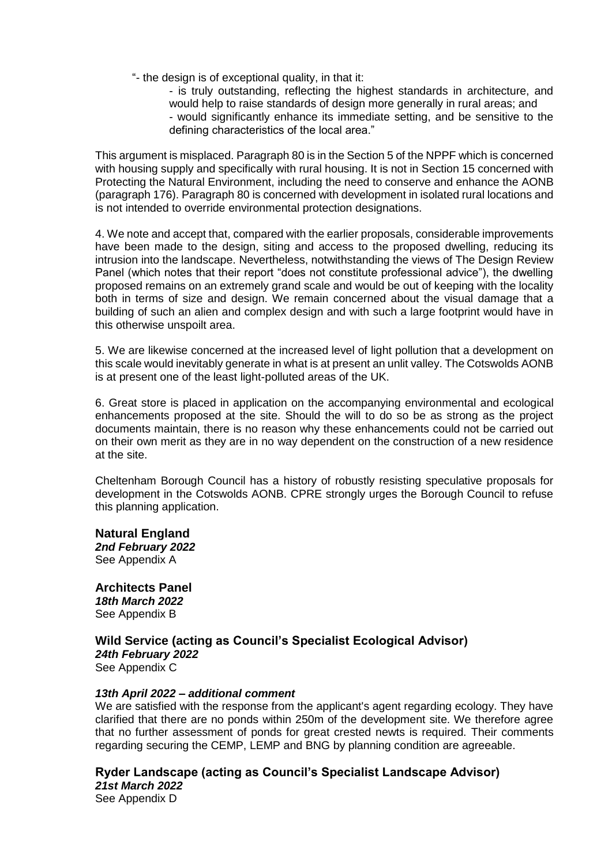- "- the design is of exceptional quality, in that it:
	- is truly outstanding, reflecting the highest standards in architecture, and would help to raise standards of design more generally in rural areas; and - would significantly enhance its immediate setting, and be sensitive to the defining characteristics of the local area."

This argument is misplaced. Paragraph 80 is in the Section 5 of the NPPF which is concerned with housing supply and specifically with rural housing. It is not in Section 15 concerned with Protecting the Natural Environment, including the need to conserve and enhance the AONB (paragraph 176). Paragraph 80 is concerned with development in isolated rural locations and is not intended to override environmental protection designations.

4. We note and accept that, compared with the earlier proposals, considerable improvements have been made to the design, siting and access to the proposed dwelling, reducing its intrusion into the landscape. Nevertheless, notwithstanding the views of The Design Review Panel (which notes that their report "does not constitute professional advice"), the dwelling proposed remains on an extremely grand scale and would be out of keeping with the locality both in terms of size and design. We remain concerned about the visual damage that a building of such an alien and complex design and with such a large footprint would have in this otherwise unspoilt area.

5. We are likewise concerned at the increased level of light pollution that a development on this scale would inevitably generate in what is at present an unlit valley. The Cotswolds AONB is at present one of the least light-polluted areas of the UK.

6. Great store is placed in application on the accompanying environmental and ecological enhancements proposed at the site. Should the will to do so be as strong as the project documents maintain, there is no reason why these enhancements could not be carried out on their own merit as they are in no way dependent on the construction of a new residence at the site.

Cheltenham Borough Council has a history of robustly resisting speculative proposals for development in the Cotswolds AONB. CPRE strongly urges the Borough Council to refuse this planning application.

**Natural England** *2nd February 2022* See Appendix A

**Architects Panel** *18th March 2022* See Appendix B

**Wild Service (acting as Council's Specialist Ecological Advisor)** *24th February 2022* See Appendix C

#### *13th April 2022 – additional comment*

We are satisfied with the response from the applicant's agent regarding ecology. They have clarified that there are no ponds within 250m of the development site. We therefore agree that no further assessment of ponds for great crested newts is required. Their comments regarding securing the CEMP, LEMP and BNG by planning condition are agreeable.

**Ryder Landscape (acting as Council's Specialist Landscape Advisor)** *21st March 2022* See Appendix D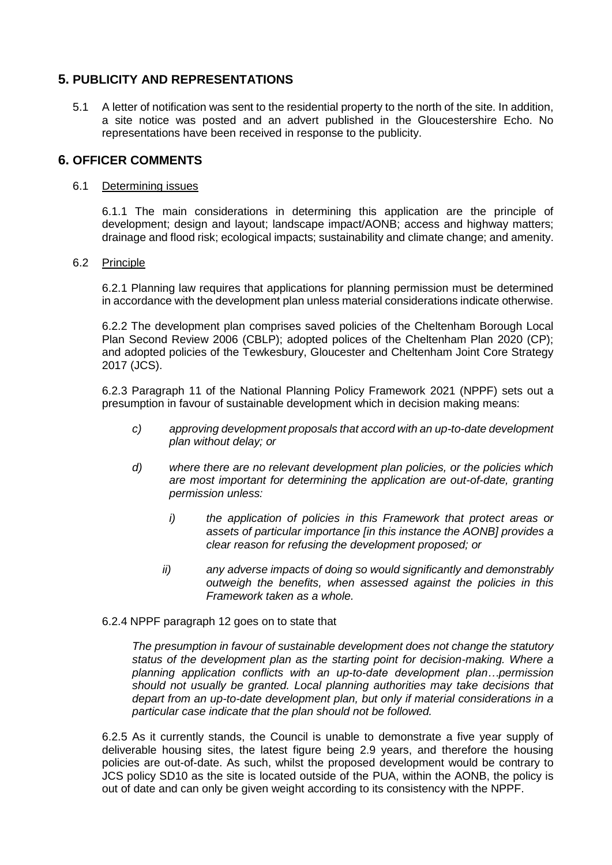## **5. PUBLICITY AND REPRESENTATIONS**

5.1 A letter of notification was sent to the residential property to the north of the site. In addition, a site notice was posted and an advert published in the Gloucestershire Echo. No representations have been received in response to the publicity.

## **6. OFFICER COMMENTS**

#### 6.1 Determining issues

6.1.1 The main considerations in determining this application are the principle of development; design and layout; landscape impact/AONB; access and highway matters; drainage and flood risk; ecological impacts; sustainability and climate change; and amenity.

#### 6.2 Principle

6.2.1 Planning law requires that applications for planning permission must be determined in accordance with the development plan unless material considerations indicate otherwise.

6.2.2 The development plan comprises saved policies of the Cheltenham Borough Local Plan Second Review 2006 (CBLP); adopted polices of the Cheltenham Plan 2020 (CP); and adopted policies of the Tewkesbury, Gloucester and Cheltenham Joint Core Strategy 2017 (JCS).

6.2.3 Paragraph 11 of the National Planning Policy Framework 2021 (NPPF) sets out a presumption in favour of sustainable development which in decision making means:

- *c) approving development proposals that accord with an up-to-date development plan without delay; or*
- *d) where there are no relevant development plan policies, or the policies which are most important for determining the application are out-of-date, granting permission unless:*
	- *i) the application of policies in this Framework that protect areas or assets of particular importance [in this instance the AONB] provides a clear reason for refusing the development proposed; or*
	- *ii) any adverse impacts of doing so would significantly and demonstrably outweigh the benefits, when assessed against the policies in this Framework taken as a whole.*

#### 6.2.4 NPPF paragraph 12 goes on to state that

*The presumption in favour of sustainable development does not change the statutory status of the development plan as the starting point for decision-making. Where a planning application conflicts with an up-to-date development plan…permission should not usually be granted. Local planning authorities may take decisions that depart from an up-to-date development plan, but only if material considerations in a particular case indicate that the plan should not be followed.*

6.2.5 As it currently stands, the Council is unable to demonstrate a five year supply of deliverable housing sites, the latest figure being 2.9 years, and therefore the housing policies are out-of-date. As such, whilst the proposed development would be contrary to JCS policy SD10 as the site is located outside of the PUA, within the AONB, the policy is out of date and can only be given weight according to its consistency with the NPPF.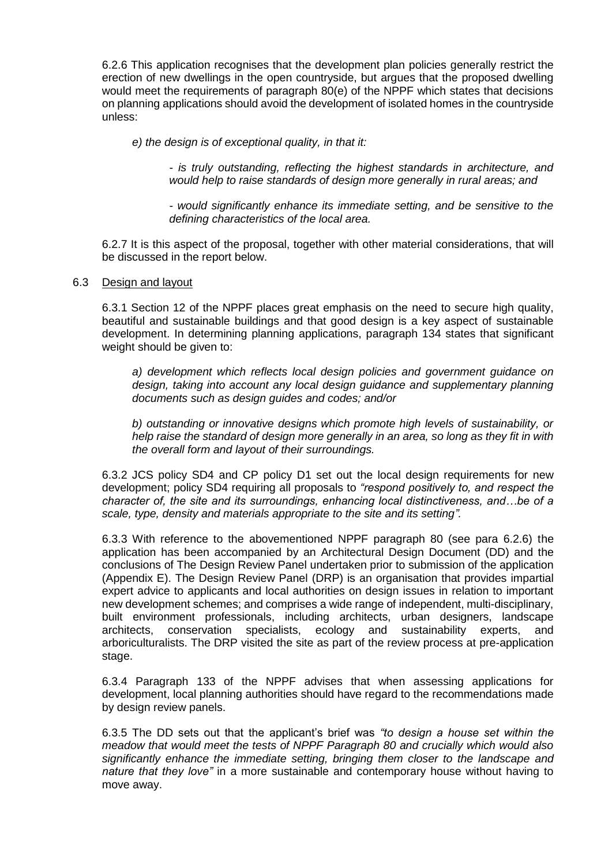6.2.6 This application recognises that the development plan policies generally restrict the erection of new dwellings in the open countryside, but argues that the proposed dwelling would meet the requirements of paragraph 80(e) of the NPPF which states that decisions on planning applications should avoid the development of isolated homes in the countryside unless:

*e) the design is of exceptional quality, in that it:* 

*- is truly outstanding, reflecting the highest standards in architecture, and would help to raise standards of design more generally in rural areas; and* 

*- would significantly enhance its immediate setting, and be sensitive to the defining characteristics of the local area.* 

6.2.7 It is this aspect of the proposal, together with other material considerations, that will be discussed in the report below.

#### 6.3 Design and layout

6.3.1 Section 12 of the NPPF places great emphasis on the need to secure high quality, beautiful and sustainable buildings and that good design is a key aspect of sustainable development. In determining planning applications, paragraph 134 states that significant weight should be given to:

*a) development which reflects local design policies and government guidance on design, taking into account any local design guidance and supplementary planning documents such as design guides and codes; and/or*

*b) outstanding or innovative designs which promote high levels of sustainability, or help raise the standard of design more generally in an area, so long as they fit in with the overall form and layout of their surroundings.*

6.3.2 JCS policy SD4 and CP policy D1 set out the local design requirements for new development; policy SD4 requiring all proposals to *"respond positively to, and respect the character of, the site and its surroundings, enhancing local distinctiveness, and…be of a scale, type, density and materials appropriate to the site and its setting".* 

6.3.3 With reference to the abovementioned NPPF paragraph 80 (see para 6.2.6) the application has been accompanied by an Architectural Design Document (DD) and the conclusions of The Design Review Panel undertaken prior to submission of the application (Appendix E). The Design Review Panel (DRP) is an organisation that provides impartial expert advice to applicants and local authorities on design issues in relation to important new development schemes; and comprises a wide range of independent, multi-disciplinary, built environment professionals, including architects, urban designers, landscape architects, conservation specialists, ecology and sustainability experts, and arboriculturalists. The DRP visited the site as part of the review process at pre-application stage.

6.3.4 Paragraph 133 of the NPPF advises that when assessing applications for development, local planning authorities should have regard to the recommendations made by design review panels.

6.3.5 The DD sets out that the applicant's brief was *"to design a house set within the meadow that would meet the tests of NPPF Paragraph 80 and crucially which would also significantly enhance the immediate setting, bringing them closer to the landscape and nature that they love"* in a more sustainable and contemporary house without having to move away.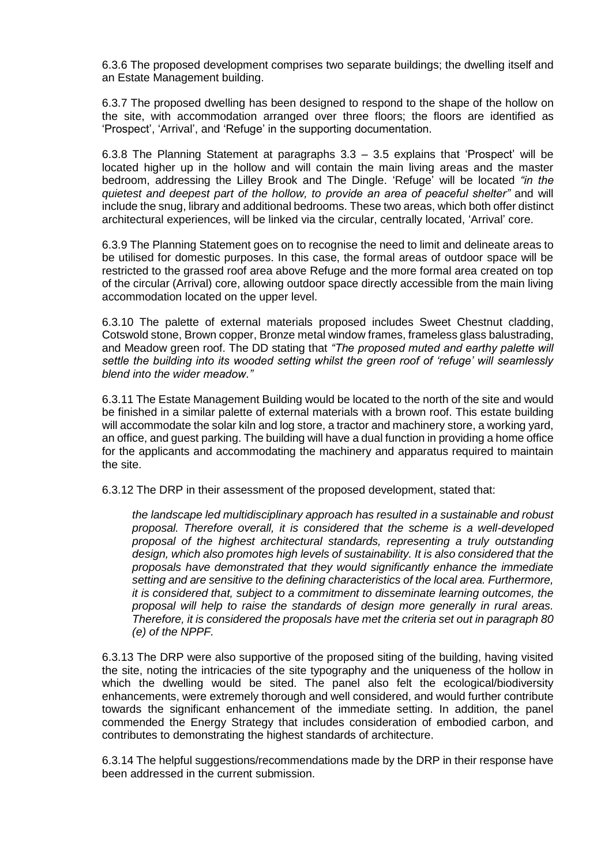6.3.6 The proposed development comprises two separate buildings; the dwelling itself and an Estate Management building.

6.3.7 The proposed dwelling has been designed to respond to the shape of the hollow on the site, with accommodation arranged over three floors; the floors are identified as 'Prospect', 'Arrival', and 'Refuge' in the supporting documentation.

6.3.8 The Planning Statement at paragraphs 3.3 – 3.5 explains that 'Prospect' will be located higher up in the hollow and will contain the main living areas and the master bedroom, addressing the Lilley Brook and The Dingle. 'Refuge' will be located *"in the quietest and deepest part of the hollow, to provide an area of peaceful shelter"* and will include the snug, library and additional bedrooms. These two areas, which both offer distinct architectural experiences, will be linked via the circular, centrally located, 'Arrival' core.

6.3.9 The Planning Statement goes on to recognise the need to limit and delineate areas to be utilised for domestic purposes. In this case, the formal areas of outdoor space will be restricted to the grassed roof area above Refuge and the more formal area created on top of the circular (Arrival) core, allowing outdoor space directly accessible from the main living accommodation located on the upper level.

6.3.10 The palette of external materials proposed includes Sweet Chestnut cladding, Cotswold stone, Brown copper, Bronze metal window frames, frameless glass balustrading, and Meadow green roof. The DD stating that *"The proposed muted and earthy palette will settle the building into its wooded setting whilst the green roof of 'refuge' will seamlessly blend into the wider meadow."*

6.3.11 The Estate Management Building would be located to the north of the site and would be finished in a similar palette of external materials with a brown roof. This estate building will accommodate the solar kiln and log store, a tractor and machinery store, a working yard, an office, and guest parking. The building will have a dual function in providing a home office for the applicants and accommodating the machinery and apparatus required to maintain the site.

6.3.12 The DRP in their assessment of the proposed development, stated that:

*the landscape led multidisciplinary approach has resulted in a sustainable and robust proposal. Therefore overall, it is considered that the scheme is a well-developed proposal of the highest architectural standards, representing a truly outstanding design, which also promotes high levels of sustainability. It is also considered that the proposals have demonstrated that they would significantly enhance the immediate setting and are sensitive to the defining characteristics of the local area. Furthermore, it is considered that, subject to a commitment to disseminate learning outcomes, the proposal will help to raise the standards of design more generally in rural areas. Therefore, it is considered the proposals have met the criteria set out in paragraph 80 (e) of the NPPF.*

6.3.13 The DRP were also supportive of the proposed siting of the building, having visited the site, noting the intricacies of the site typography and the uniqueness of the hollow in which the dwelling would be sited. The panel also felt the ecological/biodiversity enhancements, were extremely thorough and well considered, and would further contribute towards the significant enhancement of the immediate setting. In addition, the panel commended the Energy Strategy that includes consideration of embodied carbon, and contributes to demonstrating the highest standards of architecture.

6.3.14 The helpful suggestions/recommendations made by the DRP in their response have been addressed in the current submission.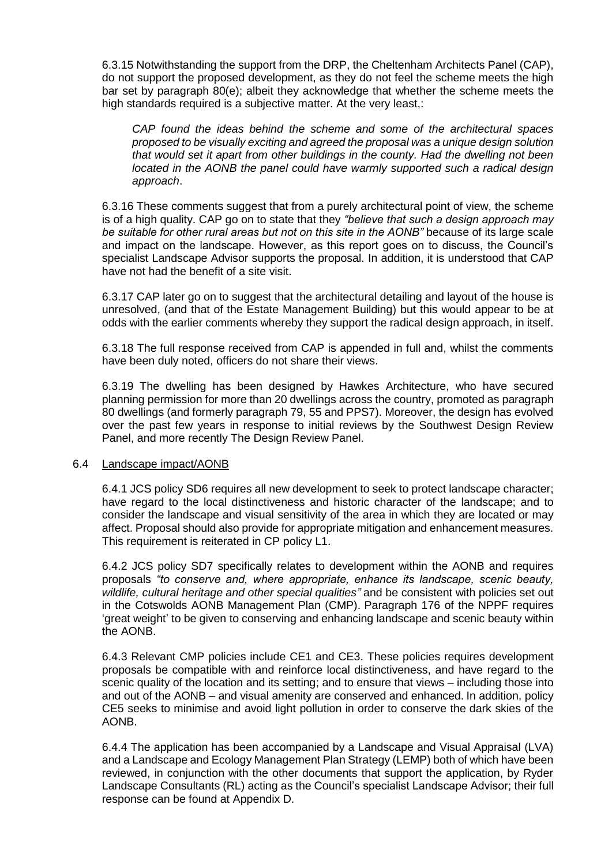6.3.15 Notwithstanding the support from the DRP, the Cheltenham Architects Panel (CAP), do not support the proposed development, as they do not feel the scheme meets the high bar set by paragraph 80(e); albeit they acknowledge that whether the scheme meets the high standards required is a subjective matter. At the very least,:

*CAP found the ideas behind the scheme and some of the architectural spaces proposed to be visually exciting and agreed the proposal was a unique design solution that would set it apart from other buildings in the county. Had the dwelling not been located in the AONB the panel could have warmly supported such a radical design approach*.

6.3.16 These comments suggest that from a purely architectural point of view, the scheme is of a high quality. CAP go on to state that they *"believe that such a design approach may be suitable for other rural areas but not on this site in the AONB"* because of its large scale and impact on the landscape. However, as this report goes on to discuss, the Council's specialist Landscape Advisor supports the proposal. In addition, it is understood that CAP have not had the benefit of a site visit.

6.3.17 CAP later go on to suggest that the architectural detailing and layout of the house is unresolved, (and that of the Estate Management Building) but this would appear to be at odds with the earlier comments whereby they support the radical design approach, in itself.

6.3.18 The full response received from CAP is appended in full and, whilst the comments have been duly noted, officers do not share their views.

6.3.19 The dwelling has been designed by Hawkes Architecture, who have secured planning permission for more than 20 dwellings across the country, promoted as paragraph 80 dwellings (and formerly paragraph 79, 55 and PPS7). Moreover, the design has evolved over the past few years in response to initial reviews by the Southwest Design Review Panel, and more recently The Design Review Panel.

#### 6.4 Landscape impact/AONB

6.4.1 JCS policy SD6 requires all new development to seek to protect landscape character; have regard to the local distinctiveness and historic character of the landscape; and to consider the landscape and visual sensitivity of the area in which they are located or may affect. Proposal should also provide for appropriate mitigation and enhancement measures. This requirement is reiterated in CP policy L1.

6.4.2 JCS policy SD7 specifically relates to development within the AONB and requires proposals *"to conserve and, where appropriate, enhance its landscape, scenic beauty, wildlife, cultural heritage and other special qualities"* and be consistent with policies set out in the Cotswolds AONB Management Plan (CMP). Paragraph 176 of the NPPF requires 'great weight' to be given to conserving and enhancing landscape and scenic beauty within the AONB.

6.4.3 Relevant CMP policies include CE1 and CE3. These policies requires development proposals be compatible with and reinforce local distinctiveness, and have regard to the scenic quality of the location and its setting; and to ensure that views – including those into and out of the AONB – and visual amenity are conserved and enhanced. In addition, policy CE5 seeks to minimise and avoid light pollution in order to conserve the dark skies of the AONB.

6.4.4 The application has been accompanied by a Landscape and Visual Appraisal (LVA) and a Landscape and Ecology Management Plan Strategy (LEMP) both of which have been reviewed, in conjunction with the other documents that support the application, by Ryder Landscape Consultants (RL) acting as the Council's specialist Landscape Advisor; their full response can be found at Appendix D.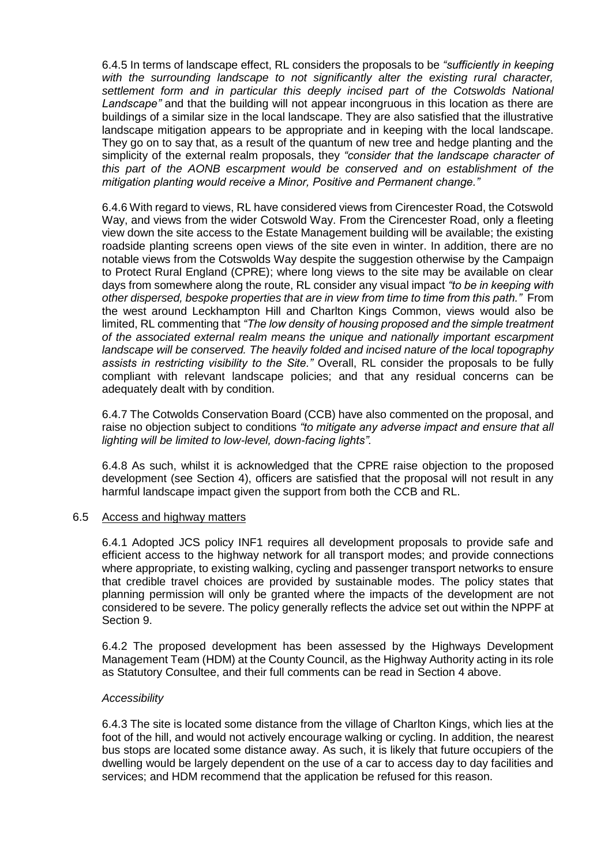6.4.5 In terms of landscape effect, RL considers the proposals to be *"sufficiently in keeping with the surrounding landscape to not significantly alter the existing rural character, settlement form and in particular this deeply incised part of the Cotswolds National Landscape"* and that the building will not appear incongruous in this location as there are buildings of a similar size in the local landscape. They are also satisfied that the illustrative landscape mitigation appears to be appropriate and in keeping with the local landscape. They go on to say that, as a result of the quantum of new tree and hedge planting and the simplicity of the external realm proposals, they *"consider that the landscape character of this part of the AONB escarpment would be conserved and on establishment of the mitigation planting would receive a Minor, Positive and Permanent change."*

6.4.6 With regard to views, RL have considered views from Cirencester Road, the Cotswold Way, and views from the wider Cotswold Way. From the Cirencester Road, only a fleeting view down the site access to the Estate Management building will be available; the existing roadside planting screens open views of the site even in winter. In addition, there are no notable views from the Cotswolds Way despite the suggestion otherwise by the Campaign to Protect Rural England (CPRE); where long views to the site may be available on clear days from somewhere along the route, RL consider any visual impact *"to be in keeping with other dispersed, bespoke properties that are in view from time to time from this path."* From the west around Leckhampton Hill and Charlton Kings Common, views would also be limited, RL commenting that *"The low density of housing proposed and the simple treatment of the associated external realm means the unique and nationally important escarpment landscape will be conserved. The heavily folded and incised nature of the local topography assists in restricting visibility to the Site."* Overall, RL consider the proposals to be fully compliant with relevant landscape policies; and that any residual concerns can be adequately dealt with by condition.

6.4.7 The Cotwolds Conservation Board (CCB) have also commented on the proposal, and raise no objection subject to conditions *"to mitigate any adverse impact and ensure that all lighting will be limited to low-level, down-facing lights".*

6.4.8 As such, whilst it is acknowledged that the CPRE raise objection to the proposed development (see Section 4), officers are satisfied that the proposal will not result in any harmful landscape impact given the support from both the CCB and RL.

#### 6.5 Access and highway matters

6.4.1 Adopted JCS policy INF1 requires all development proposals to provide safe and efficient access to the highway network for all transport modes; and provide connections where appropriate, to existing walking, cycling and passenger transport networks to ensure that credible travel choices are provided by sustainable modes. The policy states that planning permission will only be granted where the impacts of the development are not considered to be severe. The policy generally reflects the advice set out within the NPPF at Section 9.

6.4.2 The proposed development has been assessed by the Highways Development Management Team (HDM) at the County Council, as the Highway Authority acting in its role as Statutory Consultee, and their full comments can be read in Section 4 above.

#### *Accessibility*

6.4.3 The site is located some distance from the village of Charlton Kings, which lies at the foot of the hill, and would not actively encourage walking or cycling. In addition, the nearest bus stops are located some distance away. As such, it is likely that future occupiers of the dwelling would be largely dependent on the use of a car to access day to day facilities and services; and HDM recommend that the application be refused for this reason.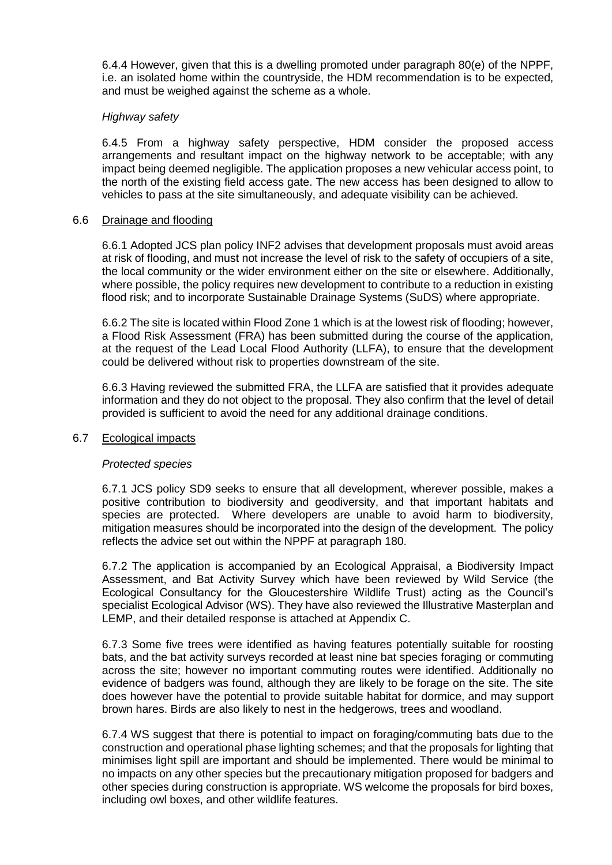6.4.4 However, given that this is a dwelling promoted under paragraph 80(e) of the NPPF, i.e. an isolated home within the countryside, the HDM recommendation is to be expected, and must be weighed against the scheme as a whole.

#### *Highway safety*

6.4.5 From a highway safety perspective, HDM consider the proposed access arrangements and resultant impact on the highway network to be acceptable; with any impact being deemed negligible. The application proposes a new vehicular access point, to the north of the existing field access gate. The new access has been designed to allow to vehicles to pass at the site simultaneously, and adequate visibility can be achieved.

#### 6.6 Drainage and flooding

6.6.1 Adopted JCS plan policy INF2 advises that development proposals must avoid areas at risk of flooding, and must not increase the level of risk to the safety of occupiers of a site, the local community or the wider environment either on the site or elsewhere. Additionally, where possible, the policy requires new development to contribute to a reduction in existing flood risk; and to incorporate Sustainable Drainage Systems (SuDS) where appropriate.

6.6.2 The site is located within Flood Zone 1 which is at the lowest risk of flooding; however, a Flood Risk Assessment (FRA) has been submitted during the course of the application, at the request of the Lead Local Flood Authority (LLFA), to ensure that the development could be delivered without risk to properties downstream of the site.

6.6.3 Having reviewed the submitted FRA, the LLFA are satisfied that it provides adequate information and they do not object to the proposal. They also confirm that the level of detail provided is sufficient to avoid the need for any additional drainage conditions.

#### 6.7 Ecological impacts

#### *Protected species*

6.7.1 JCS policy SD9 seeks to ensure that all development, wherever possible, makes a positive contribution to biodiversity and geodiversity, and that important habitats and species are protected. Where developers are unable to avoid harm to biodiversity, mitigation measures should be incorporated into the design of the development. The policy reflects the advice set out within the NPPF at paragraph 180.

6.7.2 The application is accompanied by an Ecological Appraisal, a Biodiversity Impact Assessment, and Bat Activity Survey which have been reviewed by Wild Service (the Ecological Consultancy for the Gloucestershire Wildlife Trust) acting as the Council's specialist Ecological Advisor (WS). They have also reviewed the Illustrative Masterplan and LEMP, and their detailed response is attached at Appendix C.

6.7.3 Some five trees were identified as having features potentially suitable for roosting bats, and the bat activity surveys recorded at least nine bat species foraging or commuting across the site; however no important commuting routes were identified. Additionally no evidence of badgers was found, although they are likely to be forage on the site. The site does however have the potential to provide suitable habitat for dormice, and may support brown hares. Birds are also likely to nest in the hedgerows, trees and woodland.

6.7.4 WS suggest that there is potential to impact on foraging/commuting bats due to the construction and operational phase lighting schemes; and that the proposals for lighting that minimises light spill are important and should be implemented. There would be minimal to no impacts on any other species but the precautionary mitigation proposed for badgers and other species during construction is appropriate. WS welcome the proposals for bird boxes, including owl boxes, and other wildlife features.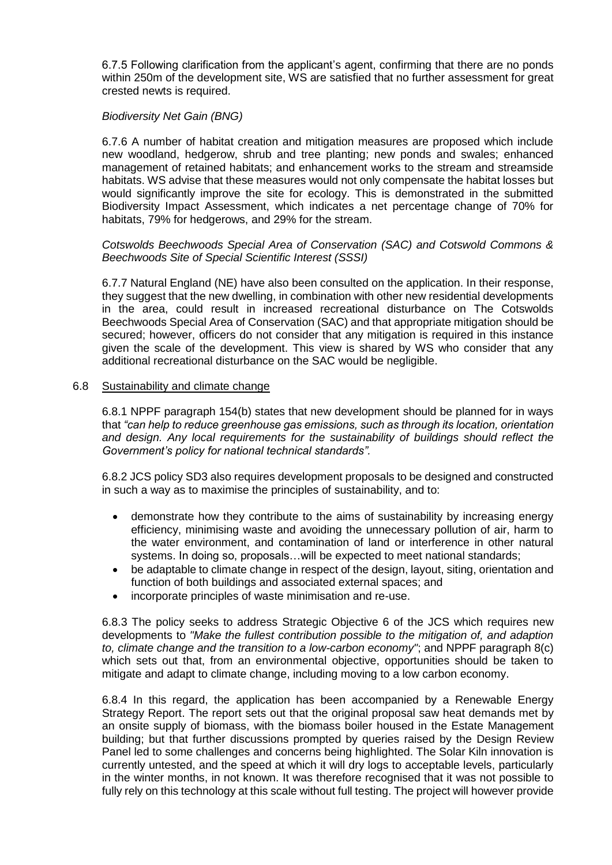6.7.5 Following clarification from the applicant's agent, confirming that there are no ponds within 250m of the development site, WS are satisfied that no further assessment for great crested newts is required.

#### *Biodiversity Net Gain (BNG)*

6.7.6 A number of habitat creation and mitigation measures are proposed which include new woodland, hedgerow, shrub and tree planting; new ponds and swales; enhanced management of retained habitats; and enhancement works to the stream and streamside habitats. WS advise that these measures would not only compensate the habitat losses but would significantly improve the site for ecology. This is demonstrated in the submitted Biodiversity Impact Assessment, which indicates a net percentage change of 70% for habitats, 79% for hedgerows, and 29% for the stream.

#### *Cotswolds Beechwoods Special Area of Conservation (SAC) and Cotswold Commons & Beechwoods Site of Special Scientific Interest (SSSI)*

6.7.7 Natural England (NE) have also been consulted on the application. In their response, they suggest that the new dwelling, in combination with other new residential developments in the area, could result in increased recreational disturbance on The Cotswolds Beechwoods Special Area of Conservation (SAC) and that appropriate mitigation should be secured; however, officers do not consider that any mitigation is required in this instance given the scale of the development. This view is shared by WS who consider that any additional recreational disturbance on the SAC would be negligible.

#### 6.8 Sustainability and climate change

6.8.1 NPPF paragraph 154(b) states that new development should be planned for in ways that *"can help to reduce greenhouse gas emissions, such as through its location, orientation and design. Any local requirements for the sustainability of buildings should reflect the Government's policy for national technical standards".*

6.8.2 JCS policy SD3 also requires development proposals to be designed and constructed in such a way as to maximise the principles of sustainability, and to:

- demonstrate how they contribute to the aims of sustainability by increasing energy efficiency, minimising waste and avoiding the unnecessary pollution of air, harm to the water environment, and contamination of land or interference in other natural systems. In doing so, proposals…will be expected to meet national standards;
- be adaptable to climate change in respect of the design, layout, siting, orientation and function of both buildings and associated external spaces; and
- incorporate principles of waste minimisation and re-use.

6.8.3 The policy seeks to address Strategic Objective 6 of the JCS which requires new developments to *"Make the fullest contribution possible to the mitigation of, and adaption to, climate change and the transition to a low-carbon economy"*; and NPPF paragraph 8(c) which sets out that, from an environmental objective, opportunities should be taken to mitigate and adapt to climate change, including moving to a low carbon economy.

6.8.4 In this regard, the application has been accompanied by a Renewable Energy Strategy Report. The report sets out that the original proposal saw heat demands met by an onsite supply of biomass, with the biomass boiler housed in the Estate Management building; but that further discussions prompted by queries raised by the Design Review Panel led to some challenges and concerns being highlighted. The Solar Kiln innovation is currently untested, and the speed at which it will dry logs to acceptable levels, particularly in the winter months, in not known. It was therefore recognised that it was not possible to fully rely on this technology at this scale without full testing. The project will however provide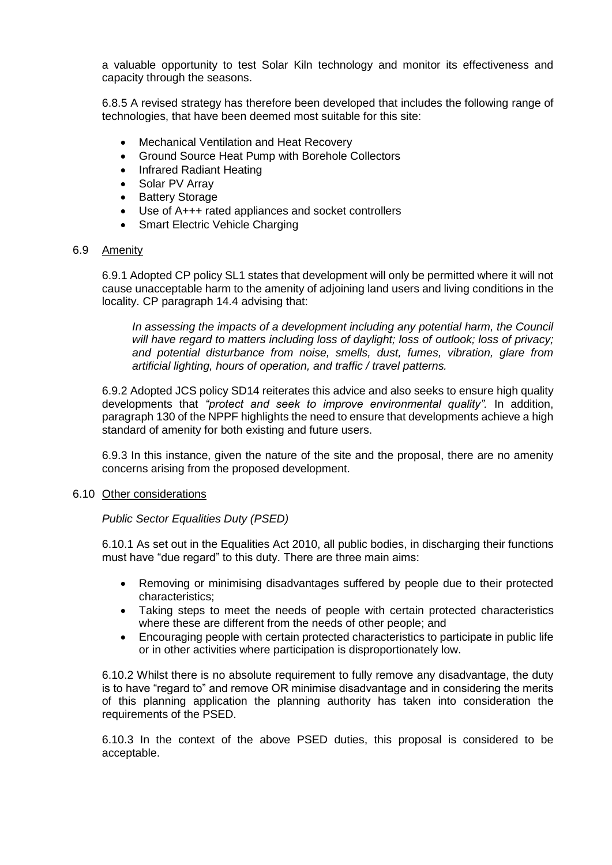a valuable opportunity to test Solar Kiln technology and monitor its effectiveness and capacity through the seasons.

6.8.5 A revised strategy has therefore been developed that includes the following range of technologies, that have been deemed most suitable for this site:

- Mechanical Ventilation and Heat Recovery
- Ground Source Heat Pump with Borehole Collectors
- Infrared Radiant Heating
- Solar PV Array
- Battery Storage
- Use of A+++ rated appliances and socket controllers
- Smart Electric Vehicle Charging

#### 6.9 Amenity

6.9.1 Adopted CP policy SL1 states that development will only be permitted where it will not cause unacceptable harm to the amenity of adjoining land users and living conditions in the locality. CP paragraph 14.4 advising that:

*In assessing the impacts of a development including any potential harm, the Council will have regard to matters including loss of daylight; loss of outlook; loss of privacy; and potential disturbance from noise, smells, dust, fumes, vibration, glare from artificial lighting, hours of operation, and traffic / travel patterns.* 

6.9.2 Adopted JCS policy SD14 reiterates this advice and also seeks to ensure high quality developments that *"protect and seek to improve environmental quality".* In addition, paragraph 130 of the NPPF highlights the need to ensure that developments achieve a high standard of amenity for both existing and future users.

6.9.3 In this instance, given the nature of the site and the proposal, there are no amenity concerns arising from the proposed development.

#### 6.10 Other considerations

#### *Public Sector Equalities Duty (PSED)*

6.10.1 As set out in the Equalities Act 2010, all public bodies, in discharging their functions must have "due regard" to this duty. There are three main aims:

- Removing or minimising disadvantages suffered by people due to their protected characteristics;
- Taking steps to meet the needs of people with certain protected characteristics where these are different from the needs of other people; and
- Encouraging people with certain protected characteristics to participate in public life or in other activities where participation is disproportionately low.

6.10.2 Whilst there is no absolute requirement to fully remove any disadvantage, the duty is to have "regard to" and remove OR minimise disadvantage and in considering the merits of this planning application the planning authority has taken into consideration the requirements of the PSED.

6.10.3 In the context of the above PSED duties, this proposal is considered to be acceptable.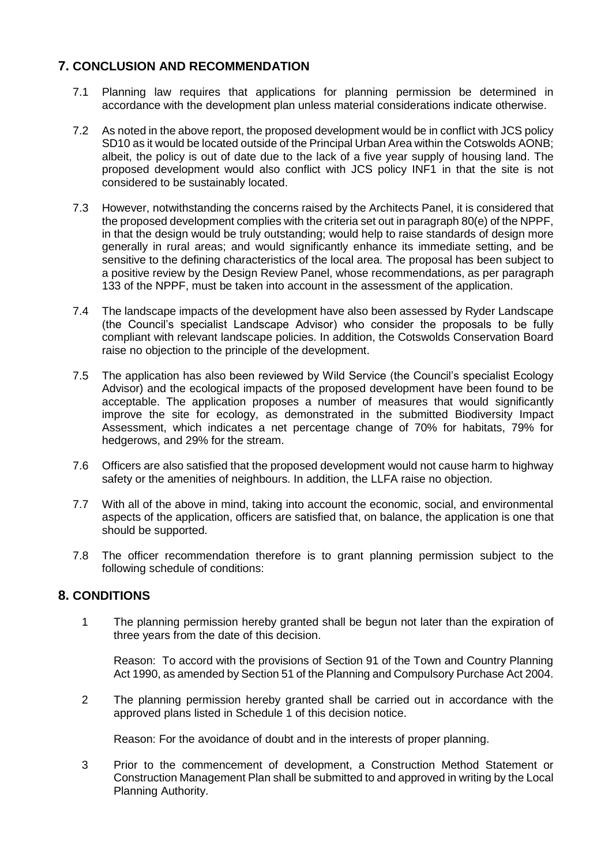# **7. CONCLUSION AND RECOMMENDATION**

- 7.1 Planning law requires that applications for planning permission be determined in accordance with the development plan unless material considerations indicate otherwise.
- 7.2 As noted in the above report, the proposed development would be in conflict with JCS policy SD10 as it would be located outside of the Principal Urban Area within the Cotswolds AONB; albeit, the policy is out of date due to the lack of a five year supply of housing land. The proposed development would also conflict with JCS policy INF1 in that the site is not considered to be sustainably located.
- 7.3 However, notwithstanding the concerns raised by the Architects Panel, it is considered that the proposed development complies with the criteria set out in paragraph 80(e) of the NPPF, in that the design would be truly outstanding; would help to raise standards of design more generally in rural areas; and would significantly enhance its immediate setting, and be sensitive to the defining characteristics of the local area. The proposal has been subject to a positive review by the Design Review Panel, whose recommendations, as per paragraph 133 of the NPPF, must be taken into account in the assessment of the application.
- 7.4 The landscape impacts of the development have also been assessed by Ryder Landscape (the Council's specialist Landscape Advisor) who consider the proposals to be fully compliant with relevant landscape policies. In addition, the Cotswolds Conservation Board raise no objection to the principle of the development.
- 7.5 The application has also been reviewed by Wild Service (the Council's specialist Ecology Advisor) and the ecological impacts of the proposed development have been found to be acceptable. The application proposes a number of measures that would significantly improve the site for ecology, as demonstrated in the submitted Biodiversity Impact Assessment, which indicates a net percentage change of 70% for habitats, 79% for hedgerows, and 29% for the stream.
- 7.6 Officers are also satisfied that the proposed development would not cause harm to highway safety or the amenities of neighbours. In addition, the LLFA raise no objection.
- 7.7 With all of the above in mind, taking into account the economic, social, and environmental aspects of the application, officers are satisfied that, on balance, the application is one that should be supported.
- 7.8 The officer recommendation therefore is to grant planning permission subject to the following schedule of conditions:

## **8. CONDITIONS**

1 The planning permission hereby granted shall be begun not later than the expiration of three years from the date of this decision.

Reason: To accord with the provisions of Section 91 of the Town and Country Planning Act 1990, as amended by Section 51 of the Planning and Compulsory Purchase Act 2004.

2 The planning permission hereby granted shall be carried out in accordance with the approved plans listed in Schedule 1 of this decision notice.

Reason: For the avoidance of doubt and in the interests of proper planning.

3 Prior to the commencement of development, a Construction Method Statement or Construction Management Plan shall be submitted to and approved in writing by the Local Planning Authority.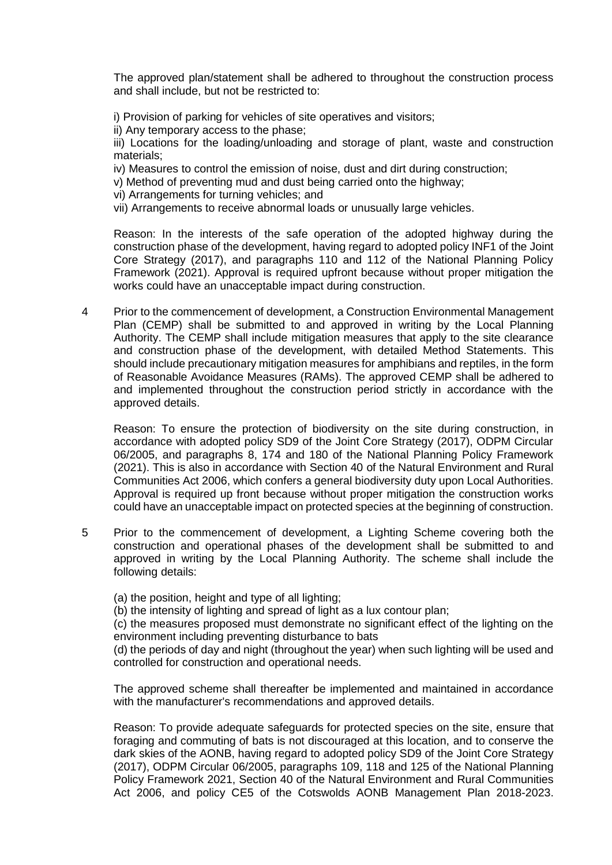The approved plan/statement shall be adhered to throughout the construction process and shall include, but not be restricted to:

i) Provision of parking for vehicles of site operatives and visitors;

ii) Any temporary access to the phase;

iii) Locations for the loading/unloading and storage of plant, waste and construction materials;

iv) Measures to control the emission of noise, dust and dirt during construction;

- v) Method of preventing mud and dust being carried onto the highway;
- vi) Arrangements for turning vehicles; and
- vii) Arrangements to receive abnormal loads or unusually large vehicles.

Reason: In the interests of the safe operation of the adopted highway during the construction phase of the development, having regard to adopted policy INF1 of the Joint Core Strategy (2017), and paragraphs 110 and 112 of the National Planning Policy Framework (2021). Approval is required upfront because without proper mitigation the works could have an unacceptable impact during construction.

4 Prior to the commencement of development, a Construction Environmental Management Plan (CEMP) shall be submitted to and approved in writing by the Local Planning Authority. The CEMP shall include mitigation measures that apply to the site clearance and construction phase of the development, with detailed Method Statements. This should include precautionary mitigation measures for amphibians and reptiles, in the form of Reasonable Avoidance Measures (RAMs). The approved CEMP shall be adhered to and implemented throughout the construction period strictly in accordance with the approved details.

Reason: To ensure the protection of biodiversity on the site during construction, in accordance with adopted policy SD9 of the Joint Core Strategy (2017), ODPM Circular 06/2005, and paragraphs 8, 174 and 180 of the National Planning Policy Framework (2021). This is also in accordance with Section 40 of the Natural Environment and Rural Communities Act 2006, which confers a general biodiversity duty upon Local Authorities. Approval is required up front because without proper mitigation the construction works could have an unacceptable impact on protected species at the beginning of construction.

- 5 Prior to the commencement of development, a Lighting Scheme covering both the construction and operational phases of the development shall be submitted to and approved in writing by the Local Planning Authority. The scheme shall include the following details:
	- (a) the position, height and type of all lighting;

(b) the intensity of lighting and spread of light as a lux contour plan;

(c) the measures proposed must demonstrate no significant effect of the lighting on the environment including preventing disturbance to bats

(d) the periods of day and night (throughout the year) when such lighting will be used and controlled for construction and operational needs.

The approved scheme shall thereafter be implemented and maintained in accordance with the manufacturer's recommendations and approved details.

Reason: To provide adequate safeguards for protected species on the site, ensure that foraging and commuting of bats is not discouraged at this location, and to conserve the dark skies of the AONB, having regard to adopted policy SD9 of the Joint Core Strategy (2017), ODPM Circular 06/2005, paragraphs 109, 118 and 125 of the National Planning Policy Framework 2021, Section 40 of the Natural Environment and Rural Communities Act 2006, and policy CE5 of the Cotswolds AONB Management Plan 2018-2023.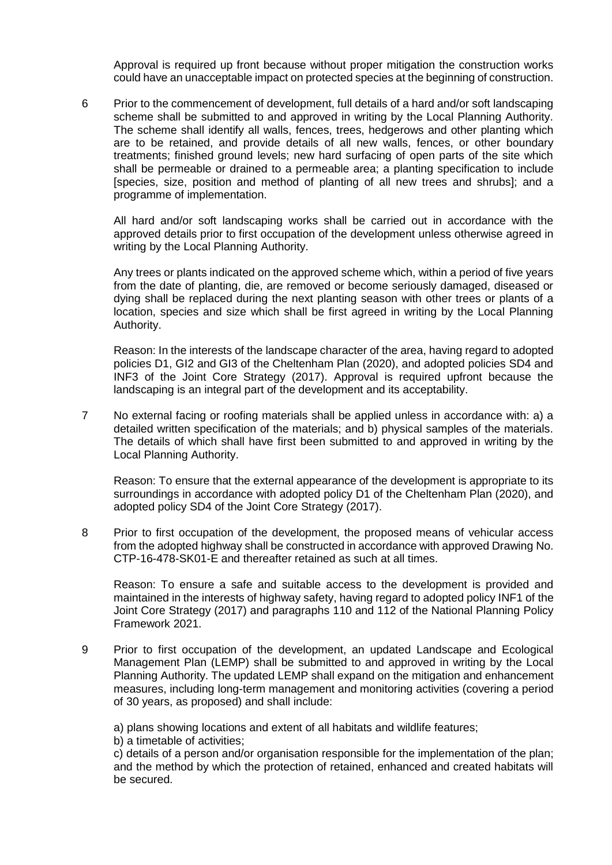Approval is required up front because without proper mitigation the construction works could have an unacceptable impact on protected species at the beginning of construction.

6 Prior to the commencement of development, full details of a hard and/or soft landscaping scheme shall be submitted to and approved in writing by the Local Planning Authority. The scheme shall identify all walls, fences, trees, hedgerows and other planting which are to be retained, and provide details of all new walls, fences, or other boundary treatments; finished ground levels; new hard surfacing of open parts of the site which shall be permeable or drained to a permeable area; a planting specification to include [species, size, position and method of planting of all new trees and shrubs]; and a programme of implementation.

All hard and/or soft landscaping works shall be carried out in accordance with the approved details prior to first occupation of the development unless otherwise agreed in writing by the Local Planning Authority.

Any trees or plants indicated on the approved scheme which, within a period of five years from the date of planting, die, are removed or become seriously damaged, diseased or dying shall be replaced during the next planting season with other trees or plants of a location, species and size which shall be first agreed in writing by the Local Planning Authority.

Reason: In the interests of the landscape character of the area, having regard to adopted policies D1, GI2 and GI3 of the Cheltenham Plan (2020), and adopted policies SD4 and INF3 of the Joint Core Strategy (2017). Approval is required upfront because the landscaping is an integral part of the development and its acceptability.

7 No external facing or roofing materials shall be applied unless in accordance with: a) a detailed written specification of the materials; and b) physical samples of the materials. The details of which shall have first been submitted to and approved in writing by the Local Planning Authority.

Reason: To ensure that the external appearance of the development is appropriate to its surroundings in accordance with adopted policy D1 of the Cheltenham Plan (2020), and adopted policy SD4 of the Joint Core Strategy (2017).

8 Prior to first occupation of the development, the proposed means of vehicular access from the adopted highway shall be constructed in accordance with approved Drawing No. CTP-16-478-SK01-E and thereafter retained as such at all times.

Reason: To ensure a safe and suitable access to the development is provided and maintained in the interests of highway safety, having regard to adopted policy INF1 of the Joint Core Strategy (2017) and paragraphs 110 and 112 of the National Planning Policy Framework 2021.

9 Prior to first occupation of the development, an updated Landscape and Ecological Management Plan (LEMP) shall be submitted to and approved in writing by the Local Planning Authority. The updated LEMP shall expand on the mitigation and enhancement measures, including long-term management and monitoring activities (covering a period of 30 years, as proposed) and shall include:

a) plans showing locations and extent of all habitats and wildlife features;

b) a timetable of activities;

c) details of a person and/or organisation responsible for the implementation of the plan; and the method by which the protection of retained, enhanced and created habitats will be secured.